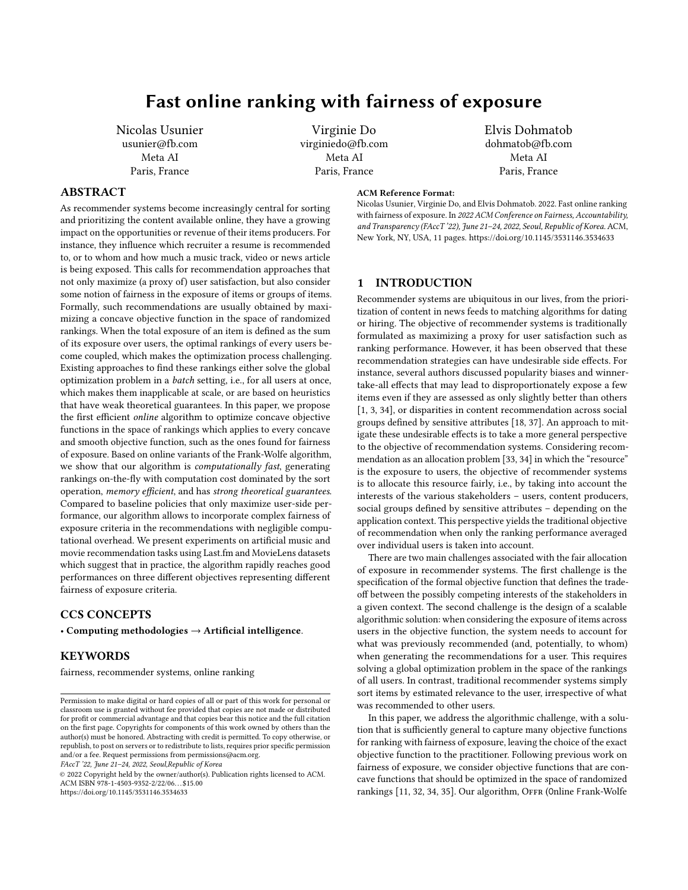# Fast online ranking with fairness of exposure

Nicolas Usunier usunier@fb.com Meta AI Paris, France

Virginie Do virginiedo@fb.com Meta AI Paris, France

Elvis Dohmatob dohmatob@fb.com Meta AI Paris, France

### ABSTRACT

As recommender systems become increasingly central for sorting and prioritizing the content available online, they have a growing impact on the opportunities or revenue of their items producers. For instance, they influence which recruiter a resume is recommended to, or to whom and how much a music track, video or news article is being exposed. This calls for recommendation approaches that not only maximize (a proxy of) user satisfaction, but also consider some notion of fairness in the exposure of items or groups of items. Formally, such recommendations are usually obtained by maximizing a concave objective function in the space of randomized rankings. When the total exposure of an item is defined as the sum of its exposure over users, the optimal rankings of every users become coupled, which makes the optimization process challenging. Existing approaches to find these rankings either solve the global optimization problem in a batch setting, i.e., for all users at once, which makes them inapplicable at scale, or are based on heuristics that have weak theoretical guarantees. In this paper, we propose the first efficient online algorithm to optimize concave objective functions in the space of rankings which applies to every concave and smooth objective function, such as the ones found for fairness of exposure. Based on online variants of the Frank-Wolfe algorithm, we show that our algorithm is *computationally fast*, generating rankings on-the-fly with computation cost dominated by the sort operation, memory efficient, and has strong theoretical guarantees. Compared to baseline policies that only maximize user-side performance, our algorithm allows to incorporate complex fairness of exposure criteria in the recommendations with negligible computational overhead. We present experiments on artificial music and movie recommendation tasks using Last.fm and MovieLens datasets which suggest that in practice, the algorithm rapidly reaches good performances on three different objectives representing different fairness of exposure criteria.

#### CCS CONCEPTS

• Computing methodologies  $\rightarrow$  Artificial intelligence.

#### **KEYWORDS**

fairness, recommender systems, online ranking

FAccT '22, June 21–24, 2022, Seoul,Republic of Korea

© 2022 Copyright held by the owner/author(s). Publication rights licensed to ACM. ACM ISBN 978-1-4503-9352-2/22/06. . . \$15.00 <https://doi.org/10.1145/3531146.3534633>

#### ACM Reference Format:

Nicolas Usunier, Virginie Do, and Elvis Dohmatob. 2022. Fast online ranking with fairness of exposure. In 2022 ACM Conference on Fairness, Accountability, and Transparency (FAccT '22), June 21–24, 2022, Seoul, Republic of Korea. ACM, New York, NY, USA, [11](#page-10-0) pages.<https://doi.org/10.1145/3531146.3534633>

#### 1 INTRODUCTION

Recommender systems are ubiquitous in our lives, from the prioritization of content in news feeds to matching algorithms for dating or hiring. The objective of recommender systems is traditionally formulated as maximizing a proxy for user satisfaction such as ranking performance. However, it has been observed that these recommendation strategies can have undesirable side effects. For instance, several authors discussed popularity biases and winnertake-all effects that may lead to disproportionately expose a few items even if they are assessed as only slightly better than others [\[1,](#page-9-0) [3,](#page-9-1) [34\]](#page-10-1), or disparities in content recommendation across social groups defined by sensitive attributes [\[18,](#page-10-2) [37\]](#page-10-3). An approach to mitigate these undesirable effects is to take a more general perspective to the objective of recommendation systems. Considering recommendation as an allocation problem [\[33,](#page-10-4) [34\]](#page-10-1) in which the "resource" is the exposure to users, the objective of recommender systems is to allocate this resource fairly, i.e., by taking into account the interests of the various stakeholders – users, content producers, social groups defined by sensitive attributes – depending on the application context. This perspective yields the traditional objective of recommendation when only the ranking performance averaged over individual users is taken into account.

There are two main challenges associated with the fair allocation of exposure in recommender systems. The first challenge is the specification of the formal objective function that defines the tradeoff between the possibly competing interests of the stakeholders in a given context. The second challenge is the design of a scalable algorithmic solution: when considering the exposure of items across users in the objective function, the system needs to account for what was previously recommended (and, potentially, to whom) when generating the recommendations for a user. This requires solving a global optimization problem in the space of the rankings of all users. In contrast, traditional recommender systems simply sort items by estimated relevance to the user, irrespective of what was recommended to other users.

In this paper, we address the algorithmic challenge, with a solution that is sufficiently general to capture many objective functions for ranking with fairness of exposure, leaving the choice of the exact objective function to the practitioner. Following previous work on fairness of exposure, we consider objective functions that are concave functions that should be optimized in the space of randomized rankings [\[11,](#page-10-5) [32,](#page-10-6) [34,](#page-10-1) [35\]](#page-10-7). Our algorithm, OFFR (Online Frank-Wolfe

Permission to make digital or hard copies of all or part of this work for personal or classroom use is granted without fee provided that copies are not made or distributed for profit or commercial advantage and that copies bear this notice and the full citation on the first page. Copyrights for components of this work owned by others than the author(s) must be honored. Abstracting with credit is permitted. To copy otherwise, or republish, to post on servers or to redistribute to lists, requires prior specific permission and/or a fee. Request permissions from permissions@acm.org.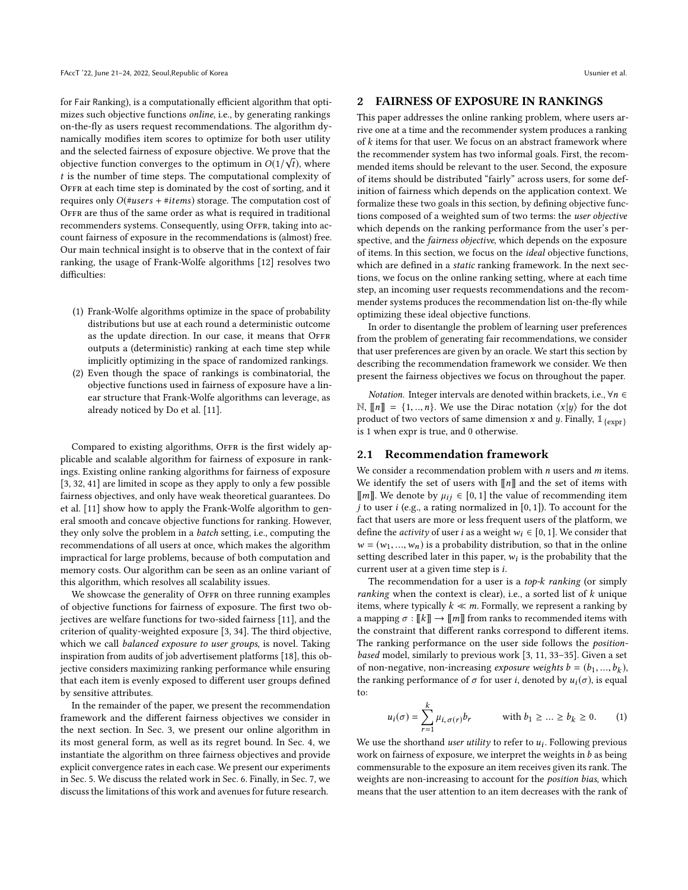for Fair Ranking), is a computationally efficient algorithm that optimizes such objective functions online, i.e., by generating rankings on-the-fly as users request recommendations. The algorithm dynamically modifies item scores to optimize for both user utility and the selected fairness of exposure objective. We prove that the objective function converges to the optimum in  $O(1/\sqrt{t})$ , where<br>t is the number of time stens. The computational complexity of t is the number of time steps. The computational complexity of OFFR at each time step is dominated by the cost of sorting, and it requires only  $O(\text{tusers} + \text{titems})$  storage. The computation cost of OFFR are thus of the same order as what is required in traditional recommenders systems. Consequently, using OFFR, taking into account fairness of exposure in the recommendations is (almost) free. Our main technical insight is to observe that in the context of fair ranking, the usage of Frank-Wolfe algorithms [\[12\]](#page-10-8) resolves two difficulties:

- (1) Frank-Wolfe algorithms optimize in the space of probability distributions but use at each round a deterministic outcome as the update direction. In our case, it means that OFFR outputs a (deterministic) ranking at each time step while implicitly optimizing in the space of randomized rankings.
- (2) Even though the space of rankings is combinatorial, the objective functions used in fairness of exposure have a linear structure that Frank-Wolfe algorithms can leverage, as already noticed by Do et al. [\[11\]](#page-10-5).

Compared to existing algorithms, OFFR is the first widely applicable and scalable algorithm for fairness of exposure in rankings. Existing online ranking algorithms for fairness of exposure [\[3,](#page-9-1) [32,](#page-10-6) [41\]](#page-10-9) are limited in scope as they apply to only a few possible fairness objectives, and only have weak theoretical guarantees. Do et al. [\[11\]](#page-10-5) show how to apply the Frank-Wolfe algorithm to general smooth and concave objective functions for ranking. However, they only solve the problem in a batch setting, i.e., computing the recommendations of all users at once, which makes the algorithm impractical for large problems, because of both computation and memory costs. Our algorithm can be seen as an online variant of this algorithm, which resolves all scalability issues.

We showcase the generality of OFFR on three running examples of objective functions for fairness of exposure. The first two objectives are welfare functions for two-sided fairness [\[11\]](#page-10-5), and the criterion of quality-weighted exposure [\[3,](#page-9-1) [34\]](#page-10-1). The third objective, which we call balanced exposure to user groups, is novel. Taking inspiration from audits of job advertisement platforms [\[18\]](#page-10-2), this objective considers maximizing ranking performance while ensuring that each item is evenly exposed to different user groups defined by sensitive attributes.

In the remainder of the paper, we present the recommendation framework and the different fairness objectives we consider in the next section. In Sec. [3,](#page-3-0) we present our online algorithm in its most general form, as well as its regret bound. In Sec. [4,](#page-4-0) we instantiate the algorithm on three fairness objectives and provide explicit convergence rates in each case. We present our experiments in Sec. [5.](#page-5-0) We discuss the related work in Sec. [6.](#page-8-0) Finally, in Sec. [7,](#page-9-2) we discuss the limitations of this work and avenues for future research.

#### <span id="page-1-0"></span>2 FAIRNESS OF EXPOSURE IN RANKINGS

This paper addresses the online ranking problem, where users arrive one at a time and the recommender system produces a ranking of k items for that user. We focus on an abstract framework where the recommender system has two informal goals. First, the recommended items should be relevant to the user. Second, the exposure of items should be distributed "fairly" across users, for some definition of fairness which depends on the application context. We formalize these two goals in this section, by defining objective functions composed of a weighted sum of two terms: the user objective which depends on the ranking performance from the user's perspective, and the fairness objective, which depends on the exposure of items. In this section, we focus on the ideal objective functions, which are defined in a static ranking framework. In the next sections, we focus on the online ranking setting, where at each time step, an incoming user requests recommendations and the recommender systems produces the recommendation list on-the-fly while optimizing these ideal objective functions.

In order to disentangle the problem of learning user preferences from the problem of generating fair recommendations, we consider that user preferences are given by an oracle. We start this section by describing the recommendation framework we consider. We then present the fairness objectives we focus on throughout the paper.

Notation. Integer intervals are denoted within brackets, i.e.,  $\forall n \in$  $\mathbb{N}, \llbracket n \rrbracket = \{1, ..., n\}.$  We use the Dirac notation  $\langle x | y \rangle$  for the dot product of two vectors of same dimension x and y. Finally,  $\mathbb{1}_{\{\exp\}}$ is 1 when expr is true, and 0 otherwise.

#### 2.1 Recommendation framework

We consider a recommendation problem with  $n$  users and  $m$  items. We identify the set of users with  $[ n ] ]$  and the set of items with  $[[m]]$ . We denote by  $\mu_{ij} \in [0, 1]$  the value of recommending item  $j$  to user  $i$  (e.g., a rating normalized in [0, 1]). To account for the fact that users are more or less frequent users of the platform, we define the *activity* of user *i* as a weight  $w_i \in [0, 1]$ . We consider that  $w = (w_1, ..., w_n)$  is a probability distribution, so that in the online setting described later in this paper,  $w_i$  is the probability that the current user at a given time step is  $i$ current user at a given time step is i.

The recommendation for a user is a *top-k ranking* (or simply ranking when the context is clear), i.e., a sorted list of  $k$  unique items, where typically  $k \ll m$ . Formally, we represent a ranking by a mapping  $\sigma : \llbracket k \rrbracket \to \llbracket m \rrbracket$  from ranks to recommended items with the constraint that different ranks correspond to different items. The ranking performance on the user side follows the *position*based model, similarly to previous work [\[3,](#page-9-1) [11,](#page-10-5) [33](#page-10-4)[–35\]](#page-10-7). Given a set of non-negative, non-increasing exposure weights  $b = (b_1, ..., b_k)$ ,<br>the ranking performance of  $\sigma$  for user *i* denoted by  $u_i(\sigma)$  is equal the ranking performance of  $\sigma$  for user *i*, denoted by  $u_i(\sigma)$ , is equal  $t_0$ 

<span id="page-1-1"></span>
$$
u_i(\sigma) = \sum_{r=1}^k \mu_{i,\sigma(r)} b_r \qquad \text{with } b_1 \ge \dots \ge b_k \ge 0. \tag{1}
$$

We use the shorthand *user utility* to refer to  $u_i$ . Following previous work on fairness of exposure, we interpret the weights in h as being work on fairness of exposure, we interpret the weights in  $b$  as being commensurable to the exposure an item receives given its rank. The weights are non-increasing to account for the position bias, which means that the user attention to an item decreases with the rank of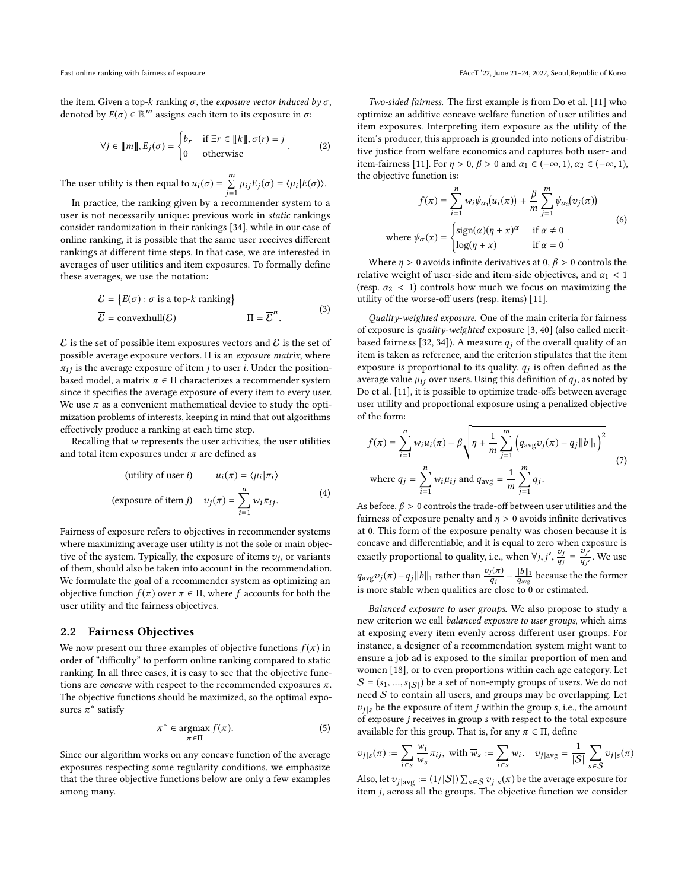the item. Given a top-k ranking  $σ$ , the *exposure vector induced by*  $σ$ , denoted by  $E(\sigma) \in \mathbb{R}^m$  assigns each item to its exposure in  $\sigma$ :

$$
\forall j \in [\![m]\!], E_j(\sigma) = \begin{cases} b_r & \text{if } \exists r \in [\![k]\!], \sigma(r) = j \\ 0 & \text{otherwise} \end{cases} . \tag{2}
$$

The user utility is then equal to  $u_i(\sigma) = \sum_{j=i}^{m}$  $\sum_{j=1} \mu_{ij} E_j(\sigma) = \langle \mu_i | E(\sigma) \rangle.$ 

In practice, the ranking given by a recommender system to a user is not necessarily unique: previous work in static rankings consider randomization in their rankings [\[34\]](#page-10-1), while in our case of online ranking, it is possible that the same user receives different rankings at different time steps. In that case, we are interested in averages of user utilities and item exposures. To formally define these averages, we use the notation:

$$
\mathcal{E} = \{ E(\sigma) : \sigma \text{ is a top-}k \text{ ranking} \}
$$

$$
\overline{\mathcal{E}} = \text{convexhull}(\mathcal{E}) \qquad \Pi = \overline{\mathcal{E}}^n.
$$
 (3)

 $\mathcal E$  is the set of possible item exposures vectors and  $\mathcal E$  is the set of possible average exposure vectors.  $\Pi$  is an *exposure matrix*, where  $\pi_{ij}$  is the average exposure of item *j* to user *i*. Under the positionbased model, a matrix  $\pi \in \Pi$  characterizes a recommender system since it specifies the average exposure of every item to every user. We use  $\pi$  as a convenient mathematical device to study the optimization problems of interests, keeping in mind that out algorithms effectively produce a ranking at each time step.

Recalling that w represents the user activities, the user utilities and total item exposures under  $\pi$  are defined as

$$
\begin{aligned}\n(\text{utility of user } i) \qquad u_i(\pi) &= \langle \mu_i | \pi_i \rangle \\
(\text{exposure of item } j) \qquad v_j(\pi) &= \sum_{i=1}^n w_i \pi_{ij}.\n\end{aligned}\n\tag{4}
$$

Fairness of exposure refers to objectives in recommender systems where maximizing average user utility is not the sole or main objective of the system. Typically, the exposure of items  $v_j$ , or variants<br>of them, should also be taken into account in the recommendation of them, should also be taken into account in the recommendation. We formulate the goal of a recommender system as optimizing an objective function  $f(\pi)$  over  $\pi \in \Pi$ , where f accounts for both the user utility and the fairness objectives.

#### <span id="page-2-0"></span>2.2 Fairness Objectives

We now present our three examples of objective functions  $f(\pi)$  in order of "difficulty" to perform online ranking compared to static ranking. In all three cases, it is easy to see that the objective functions are *concave* with respect to the recommended exposures  $\pi$ . The objective functions should be maximized, so the optimal exposures  $\pi^*$  satisfy

$$
\pi^* \in \operatorname*{argmax}_{\pi \in \Pi} f(\pi). \tag{5}
$$

Since our algorithm works on any concave function of the average exposures respecting some regularity conditions, we emphasize that the three objective functions below are only a few examples among many.

Two-sided fairness. The first example is from Do et al. [\[11\]](#page-10-5) who optimize an additive concave welfare function of user utilities and item exposures. Interpreting item exposure as the utility of the item's producer, this approach is grounded into notions of distributive justice from welfare economics and captures both user- and item-fairness [\[11\]](#page-10-5). For  $\eta > 0$ ,  $\beta > 0$  and  $\alpha_1 \in (-\infty, 1)$ ,  $\alpha_2 \in (-\infty, 1)$ , the objective function is:

<span id="page-2-1"></span>
$$
f(\pi) = \sum_{i=1}^{n} w_i \psi_{\alpha_1}(u_i(\pi)) + \frac{\beta}{m} \sum_{j=1}^{m} \psi_{\alpha_2}(v_j(\pi))
$$
  
where  $\psi_{\alpha}(x) = \begin{cases} sign(\alpha)(\eta + x)^{\alpha} & \text{if } \alpha \neq 0 \\ log(\eta + x) & \text{if } \alpha = 0 \end{cases}$  (6)

Where  $\eta > 0$  avoids infinite derivatives at 0,  $\beta > 0$  controls the relative weight of user-side and item-side objectives, and  $\alpha_1 < 1$ (resp.  $\alpha_2$  < 1) controls how much we focus on maximizing the utility of the worse-off users (resp. items) [\[11\]](#page-10-5).

Quality-weighted exposure. One of the main criteria for fairness of exposure is quality-weighted exposure [\[3,](#page-9-1) [40\]](#page-10-10) (also called merit-based fairness [\[32,](#page-10-6) [34\]](#page-10-1)). A measure  $q_i$  of the overall quality of an item is taken as reference, and the criterion stipulates that the item exposure is proportional to its quality.  $q_j$  is often defined as the average value  $u_j$  over users Using this definition of  $a_j$  as noted by average value  $\mu_{ij}$  over users. Using this definition of  $q_j$ , as noted by<br>Do et al. [11] it is possible to optimize trade-offs between average Do et al. [\[11\]](#page-10-5), it is possible to optimize trade-offs between average user utility and proportional exposure using a penalized objective of the form:

<span id="page-2-2"></span>
$$
f(\pi) = \sum_{i=1}^{n} w_i u_i(\pi) - \beta \sqrt{\eta + \frac{1}{m} \sum_{j=1}^{m} (q_{\text{avg}} v_j(\pi) - q_j ||b||_1)^2}
$$
  
where  $q_j = \sum_{i=1}^{n} w_i \mu_{ij}$  and  $q_{\text{avg}} = \frac{1}{m} \sum_{j=1}^{m} q_j$ . (7)

As before,  $\beta > 0$  controls the trade-off between user utilities and the fairness of exposure penalty and  $n > 0$  avoids infinite derivatives fairness of exposure penalty and  $\eta > 0$  avoids infinite derivatives at 0. This form of the exposure penalty was chosen because it is concave and differentiable, and it is equal to zero when exposure is exactly proportional to quality, i.e., when  $\forall j, j', \frac{v_j}{q_j} = \frac{v_{j'}}{q_{j'}}$  $q_{avg}v_j(\pi) - q_j ||b||_1$  rather than  $\frac{v_j(\pi)}{q_j} - \frac{||b||_1}{||q_{avg}}$  because the the former<br>is more stable when qualities are glose to 0 or estimated  $\frac{1}{6}$ . We use is more stable when qualities are close to 0 or estimated.

Balanced exposure to user groups. We also propose to study a new criterion we call balanced exposure to user groups, which aims at exposing every item evenly across different user groups. For instance, a designer of a recommendation system might want to ensure a job ad is exposed to the similar proportion of men and women [\[18\]](#page-10-2), or to even proportions within each age category. Let  $S = (s_1, ..., s_{|S|})$  be a set of non-empty groups of users. We do not need  $S$  to contain all users, and groups may be overlapping. Let  $v_{i}$  be the exposure of item j within the group s, i.e., the amount of exposure j receives in group s with respect to the total exposure available for this group. That is, for any  $\pi \in \Pi$ , define

<span id="page-2-3"></span>
$$
v_{j | s}(\pi) := \sum_{i \in s} \frac{w_i}{\overline{w}_s} \pi_{ij}, \text{ with } \overline{w}_s := \sum_{i \in s} w_i. \quad v_{j | \text{avg}} = \frac{1}{|\mathcal{S}|} \sum_{s \in \mathcal{S}} v_{j | s}(\pi)
$$

Also, let  $v_{j\text{avg}} := (1/|S|) \sum_{s \in S} v_{j\mid s}(\pi)$  be the average exposure for<br>item *i* across all the groups. The objective function we consider show  $\sum_{j} \frac{1}{\log y}$  :  $\frac{1}{|y|}$  (1)  $\frac{1}{\log x}$  (1)  $\frac{1}{\log x}$  (1) be the average exposite for item *j*, across all the groups. The objective function we consider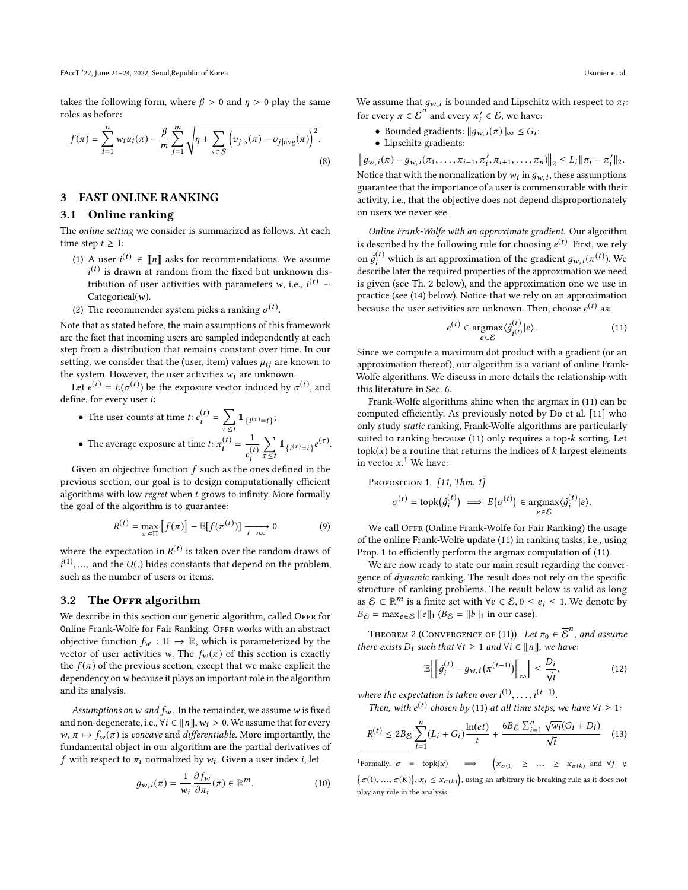takes the following form, where  $\beta > 0$  and  $\eta > 0$  play the same roles as before:

$$
f(\pi) = \sum_{i=1}^{n} w_i u_i(\pi) - \frac{\beta}{m} \sum_{j=1}^{m} \sqrt{\eta + \sum_{s \in \mathcal{S}} \left( v_{j|s}(\pi) - v_{j|\text{avg}}(\pi) \right)^2}.
$$
\n(8)

#### <span id="page-3-0"></span>3 FAST ONLINE RANKING

#### 3.1 Online ranking

The online setting we consider is summarized as follows. At each time step  $t \geq 1$ :

- (1) A user  $i^{(t)} \in [\![n]\!]$  asks for recommendations. We assume  $i^{(t)}$  is drawn at random from the fixed but unknown distribution of user activities with parameters w, i.e.,  $i^{(t)}$  ∼<br>Categorical(w)  $(t)$  is drawn at random from the fixed but unknown dis-Categorical $(w)$ .
- (2) The recommender system picks a ranking  $\sigma^{(t)}$ .

Note that as stated before, the main assumptions of this framework are the fact that incoming users are sampled independently at each step from a distribution that remains constant over time. In our setting, we consider that the (user, item) values  $\mu_{ij}$  are known to the system. However, the user activities  $w_i$  are unknown.

Let  $e^{(t)} = E(\sigma^{(t)})$  be the exposure vector induced by  $\sigma^{(t)}$ , and  $\hat{e}$ define, for every user i:

- The user counts at time *t*:  $c_i^{(t)}$  $= \sum_{\tau \leq t} \mathbb{1}_{\{i^{(\tau)} = i\}};$  $\tau \leq t$
- The average exposure at time  $t: \pi_i^{(t)}$  $=\frac{1}{4}$  $\begin{array}{cc} \n\iota_i & \tau \leq t \\ \n\vdots & \vdots \n\end{array}$ (t)  $\sum_{\tau \leq t} \mathbb{1}_{\{i^{(\tau)}=i\}} e^{(\tau)}.$

Given an objective function  $f$  such as the ones defined in the system computationally efficient previous section, our goal is to design computationally efficient algorithms with low regret when t grows to infinity. More formally the goal of the algorithm is to guarantee:

$$
R^{(t)} = \max_{\pi \in \Pi} \left[ f(\pi) \right] - \mathbb{E}[f(\pi^{(t)})] \xrightarrow[t \to \infty]{} 0 \tag{9}
$$

where the expectation in  $R^{(t)}$  is taken over the random draws of<br> $i^{(1)}$  and the Q() bidge constants that depend on the problem such as the number of users or items.  $(1)$ , ..., and the  $O(.)$  hides constants that depend on the problem,

#### 3.2 The OFFR algorithm

We describe in this section our generic algorithm, called OFFR for Online Frank-Wolfe for Fair Ranking. OFFR works with an abstract objective function  $f_w : \Pi \to \mathbb{R}$ , which is parameterized by the vector of user activities w. The  $f_w(\pi)$  of this section is exactly the  $f(\pi)$  of the previous section, except that we make explicit the dependency on  $w$  because it plays an important role in the algorithm and its analysis.

Assumptions on w and  $f_w$ . In the remainder, we assume w is fixed and non-degenerate, i.e.,  $\forall i \in [\![n]\!], w_i > 0$ . We assume that for every  $w, \pi \mapsto f_w(\pi)$  is concave and *differentiable*. More importantly, the fundamental object in our algorithm are the partial derivatives of f with respect to  $\pi_i$  normalized by  $w_i$ . Given a user index *i*, let

$$
g_{w,i}(\pi) = \frac{1}{w_i} \frac{\partial f_w}{\partial \pi_i}(\pi) \in \mathbb{R}^m.
$$
 (10)

We assume that  $g_{w,i}$  is bounded and Lipschitz with respect to  $\pi_i$ :<br>for group  $\pi_i \overline{S}^n$  and group  $\pi'_i \overline{S}$  and king for every  $\pi \in \mathcal{E}^n$  and every  $\pi'_i \in \mathcal{E}$ , we have:

- Bounded gradients:  $||g_{w,i}(\pi)||_{\infty} \leq G_i$ ;
- Lipschitz gradients:

 $||g_{w,i}(\pi) - g_{w,i}(\pi_1, \ldots, \pi_{i-1}, \pi'_i, \pi_{i+1}, \ldots, \pi_n)||_2 \leq L_i ||\pi_i - \pi'_i||_2.$ Notice that with the normalization by  $w_i$  in  $g_{w,i}$ , these assumptions warentee that the importance of a user is commensurable with their guarantee that the importance of a user is commensurable with their activity, i.e., that the objective does not depend disproportionately on users we never see.

Online Frank-Wolfe with an approximate gradient. Our algorithm is described by the following rule for choosing  $e^{(t)}$ . First, we rely on  $\hat{g}_i^{(t)}$  which is an approximation of the gradient  $g_{w,i}(\pi^{(t)})$ . We describe later the required properties of the approximation we need describe later the required properties of the approximation we need is given (see Th. [2](#page-3-1) below), and the approximation one we use in practice (see [\(14\)](#page-4-1) below). Notice that we rely on an approximation because the user activities are unknown. Then, choose  $e^{(t)}$  as:

<span id="page-3-2"></span>
$$
e^{(t)} \in \underset{e \in \mathcal{E}}{\operatorname{argmax}} \langle \hat{g}_{i^{(t)}}^{(t)} | e \rangle. \tag{11}
$$

 $e \in \mathcal{E}$ <br>Since we compute a maximum dot product with a gradient (or an approximation thereof), our algorithm is a variant of online Frank-Wolfe algorithms. We discuss in more details the relationship with this literature in Sec. [6.](#page-8-0)

Frank-Wolfe algorithms shine when the argmax in [\(11\)](#page-3-2) can be computed efficiently. As previously noted by Do et al. [\[11\]](#page-10-5) who only study static ranking, Frank-Wolfe algorithms are particularly suited to ranking because [\(11\)](#page-3-2) only requires a top-k sorting. Let  $topk(x)$  be a routine that returns the indices of k largest elements in vector  $x$ .<sup>[1](#page-3-3)</sup> We have:

<span id="page-3-4"></span>PROPOSITION 1. [\[11,](#page-10-5) Thm. 1]

$$
\sigma^{(t)} = \text{topk}(\hat{g}_i^{(t)}) \implies E(\sigma^{(t)}) \in \underset{e \in \mathcal{E}}{\text{argmax}} \langle \hat{g}_i^{(t)} | e \rangle.
$$

We call OFFR (Online Frank-Wolfe for Fair Ranking) the usage of the online Frank-Wolfe update [\(11\)](#page-3-2) in ranking tasks, i.e., using Prop. [1](#page-3-4) to efficiently perform the argmax computation of [\(11\)](#page-3-2).

We are now ready to state our main result regarding the convergence of dynamic ranking. The result does not rely on the specific structure of ranking problems. The result below is valid as long as  $\mathcal{E} \subset \mathbb{R}^m$  is a finite set with  $\forall e \in \mathcal{E}, 0 \le e_j \le 1$ . We denote by  $B_0 = \max_{e \in \mathbb{R}} e^{-\|e\|_1}$  ( $B_0 = \|b\|_2$  in our case)  $B_{\mathcal{E}} = \max_{e \in \mathcal{E}} ||e||_1 (B_{\mathcal{E}} = ||b||_1$  in our case).

<span id="page-3-1"></span>THEOREM 2 (CONVERGENCE OF [\(11\)](#page-3-2)). Let  $\pi_0 \in \mathcal{E}^n$ , and assume<br>regarists D, such that  $\forall t > 1$  and  $\forall i \in \mathbb{F}$ rll, we have: there exists  $D_i$  such that  $\forall t \geq 1$  and  $\forall i \in [\![n]\!]$ , we have:

<span id="page-3-5"></span>
$$
\mathbb{E}\left[\left\|\hat{g}_i^{(t)} - g_{w,i}\left(\pi^{(t-1)}\right)\right\|_{\infty}\right] \le \frac{D_i}{\sqrt{t}},\tag{12}
$$

where the expectation is taken over  $i^{(1)}, \ldots, i^{(t-1)}$ .<br>Then with  $c^{(t)}$  chosen by (11) at all time staps.

Then, with  $e^{(t)}$  chosen by [\(11\)](#page-3-2) at all time steps, we have  $\forall t \geq 1$ :

$$
R^{(t)} \le 2B_{\mathcal{E}} \sum_{i=1}^{n} (L_i + G_i) \frac{\ln (et)}{t} + \frac{6B_{\mathcal{E}} \sum_{i=1}^{n} \sqrt{w_i} (G_i + D_i)}{\sqrt{t}} \quad (13)
$$

<span id="page-3-3"></span><sup>1</sup>Formally,  $\sigma$  = topk(x)  $\implies$  $\begin{cases} x_{\sigma(1)} \geq \cdots \geq x_{\sigma(k)} \text{ and } \forall j \neq k \end{cases}$  $\{\sigma(1), ..., \sigma(K)\}, x_j \le x_{\sigma(k)}\big)$ , using an arbitrary tie breaking rule as it does not play any role in the analysis.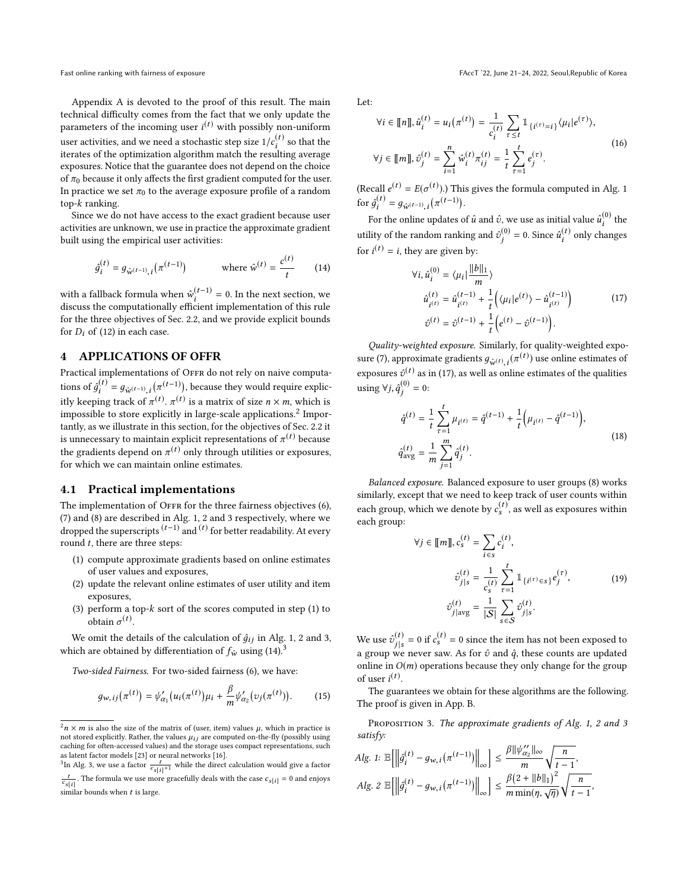Appendix A is devoted to the proof of this result. The main technical difficulty comes from the fact that we only update the parameters of the incoming user  $i^{(t)}$  with possibly non-uniform user activities, and we need a stochastic step size  $1/c_i^{(t)}$  so that the<br>iterates of the ontimization algorithm match the resulting average i iterates of the optimization algorithm match the resulting average exposures. Notice that the guarantee does not depend on the choice of  $\pi_0$  because it only affects the first gradient computed for the user. In practice we set  $\pi_0$  to the average exposure profile of a random top-k ranking.

Since we do not have access to the exact gradient because user activities are unknown, we use in practice the approximate gradient built using the empirical user activities:

$$
\hat{g}_i^{(t)} = g_{\hat{w}^{(t-1)}, i}(\pi^{(t-1)}) \qquad \text{where } \hat{w}^{(t)} = \frac{c^{(t)}}{t} \qquad (14)
$$

with a fallback formula when  $\hat{w}_i^{(t-1)} = 0$ . In the next section, we discuss the computationally efficient implementation of this rule discuss the computationally efficient implementation of this rule for the three objectives of Sec. [2.2,](#page-2-0) and we provide explicit bounds for  $D_i$  of [\(12\)](#page-3-5) in each case.

#### <span id="page-4-0"></span>4 APPLICATIONS OF OFFR

Practical implementations of OFFR do not rely on naive computations of  $\hat{g}_l^{(t)} = g_{\hat{w}^{(t-1)},l}(\pi^{(t-1)})$ , because they would require explicitly because they would require itly keeping track of  $\pi^{(t)}$ .  $\pi^{(t)}$  is a matrix of size  $n \times m$ , which is<br>impossible to store explicitly in large-scale applications<sup>2</sup> Impor-impossible to store explicitly in large-scale applications.<sup>[2](#page-4-2)</sup> Importantly, as we illustrate in this section, for the objectives of Sec. [2.2](#page-2-0) it is unnecessary to maintain explicit representations of  $\pi^{(t)}$  because<br>the gradients depend on  $\pi^{(t)}$  only through utilities or exposures the gradients depend on  $\pi^{(t)}$  only through utilities or exposures,<br>for which we can maintain online estimates for which we can maintain online estimates.

#### 4.1 Practical implementations

The implementation of OFFR for the three fairness objectives [\(6\)](#page-2-1), [\(7\)](#page-2-2) and [\(8\)](#page-2-3) are described in Alg. 1, 2 and 3 respectively, where we dropped the superscripts  $(t-1)$  and  $(t)$  for better readability. At every round  $t$ , there are three steps:

- (1) compute approximate gradients based on online estimates of user values and exposures,
- (2) update the relevant online estimates of user utility and item exposures,
- (3) perform a top- $k$  sort of the scores computed in step (1) to obtain  $\sigma^{(t)}$ .

We omit the details of the calculation of  $\hat{g}_{ij}$  in Alg. 1, 2 and 3, which are obtained by differentiation of  $f_{\hat{w}}$  using [\(14\)](#page-4-1).<sup>[3](#page-4-3)</sup>

Two-sided Fairness. For two-sided fairness [\(6\)](#page-2-1), we have:

$$
g_{w,ij}(\pi^{(t)}) = \psi'_{\alpha_1}(u_i(\pi^{(t)})\mu_i + \frac{\beta}{m}\psi'_{\alpha_2}(v_j(\pi^{(t)})).
$$
 (15)

<span id="page-4-3"></span><sup>3</sup>In Alg. 3, we use a factor  $\frac{t}{c_{\text{si}}+1}$  while the direct calculation would give a factor

Fast online ranking with fairness of exposure FACCT '22, June 21-24, 2022, Seoul,Republic of Korea

Let:

$$
\forall i \in [\![n]\!], \hat{u}_i^{(t)} = u_i(\pi^{(t)}) = \frac{1}{c_i^{(t)}} \sum_{\tau \le t} \mathbb{1}_{\{i^{(\tau)} = i\}} \langle \mu_i | e^{(\tau)} \rangle,
$$
  

$$
\forall j \in [\![m]\!], \hat{v}_j^{(t)} = \sum_{i=1}^n \hat{w}_i^{(t)} \pi_{ij}^{(t)} = \frac{1}{t} \sum_{\tau=1}^t e_j^{(\tau)}.
$$
 (16)

(Recall  $e^{(t)} = E(\sigma^{(t)}).$ ) This gives the formula computed in Alg. 1 for  $\hat{g}_i^{(t)} = g_{\hat{w}^{(t-1)}, i}(\pi^{(t-1)}).$ 

<span id="page-4-1"></span>For the online updates of  $\hat{u}$  and  $\hat{v}$ , we use as initial value  $\hat{u}_i^{(0)}$  the utility of the random ranking and  $\hat{v}_j^{(0)} = 0$ . Since  $\hat{u}_i^{(t)}$  only changes j for  $i^{(t)} = i$ , they are given by:

<span id="page-4-4"></span>
$$
\forall i, \hat{u}_i^{(0)} = \langle \mu_i | \frac{\|b\|_1}{m} \rangle
$$
  

$$
\hat{u}_{i^{(t)}}^{(t)} = \hat{u}_{i^{(t)}}^{(t-1)} + \frac{1}{t} \Big( \langle \mu_i | e^{(t)} \rangle - \hat{u}_{i^{(t)}}^{(t-1)} \Big)
$$
  

$$
\hat{v}^{(t)} = \hat{v}^{(t-1)} + \frac{1}{t} \Big( e^{(t)} - \hat{v}^{(t-1)} \Big).
$$
 (17)

t Quality-weighted exposure. Similarly, for quality-weighted expo-sure [\(7\)](#page-2-2), approximate gradients  $g_{\hat{w}}(t)_{i}(\pi^{(t)})$  use online estimates of exposures  $\hat{v}^{(t)}$  as in [\(17\)](#page-4-4), as well as online estimates of the qualities using  $\forall j, \hat{q}_j^{(0)} = 0$ :

j

$$
\hat{q}^{(t)} = \frac{1}{t} \sum_{\tau=1}^{t} \mu_{i^{(t)}} = \hat{q}^{(t-1)} + \frac{1}{t} \Big( \mu_{i^{(t)}} - \hat{q}^{(t-1)} \Big),
$$
\n
$$
\hat{q}_{\text{avg}}^{(t)} = \frac{1}{m} \sum_{j=1}^{m} \hat{q}_{j}^{(t)}.
$$
\n(18)

Balanced exposure. Balanced exposure to user groups [\(8\)](#page-2-3) works similarly, except that we need to keep track of user counts within each group, which we denote by  $c_s^{(t)}$ , as well as exposures within each group:

$$
\forall j \in [\![m]\!], c_s^{(t)} = \sum_{i \in s} c_i^{(t)},
$$

$$
\hat{v}_{j|s}^{(t)} = \frac{1}{c_s^{(t)}} \sum_{\tau=1}^t \mathbb{1}_{\{i^{(\tau)} \in s\}} e_j^{(\tau)}, \qquad (19)
$$

$$
\hat{v}_{j|\text{avg}}^{(t)} = \frac{1}{|\mathcal{S}|} \sum_{s \in \mathcal{S}} \hat{v}_{j|s}^{(t)}.
$$

We use  $\hat{v}_{j|s}^{(t)} = 0$  if  $c_s^{(t)} = 0$  since the item has not been exposed to a group we never saw. As for  $\hat{v}$  and  $\hat{q}$ , these counts are updated<br>online in  $O(m)$  operations because they only change for the group online in  $O(m)$  operations because they only change for the group of user  $i^{(t)}$ .<br>The guar

The guarantees we obtain for these algorithms are the following. The proof is given in App. B.

<span id="page-4-5"></span>PROPOSITION 3. The approximate gradients of Alg. 1, 2 and 3 satisfy:

$$
Alg. 1: \mathbb{E}\left[\left\|\hat{g}_{i}^{(t)} - g_{w,i}(\pi^{(t-1)})\right\|_{\infty}\right] \leq \frac{\beta \|\psi_{\alpha_{2}}''\|_{\infty}}{m} \sqrt{\frac{n}{t-1}},
$$
  
 
$$
Alg. 2 \mathbb{E}\left[\left\|\hat{g}_{i}^{(t)} - g_{w,i}(\pi^{(t-1)})\right\|_{\infty}\right] \leq \frac{\beta(2 + ||b||_{1})^{2}}{m \min(\eta, \sqrt{\eta})} \sqrt{\frac{n}{t-1}},
$$

<span id="page-4-2"></span> $2n \times m$  is also the size of the matrix of (user, item) values  $\mu$ , which in practice is<br>not stored explicitly Rather the values  $\mu$ , are computed on-the-fly (possibly using not stored explicitly. Rather, the values  $\mu_{ij}$  are computed on-the-fly (possibly using caching for often-accessed values) and the storage uses compact representations, such as latent factor models [\[23\]](#page-10-11) or neural networks [\[16\]](#page-10-12).

<sup>&</sup>lt;sup>t</sup>  $\frac{t}{\left[i\right]}$ . The formula we use more gracefully deals with the case  $c_{s[i]} = 0$  and enjoys  $\frac{c_{s[i]}}{\sin \theta}$  similar bounds when t is large.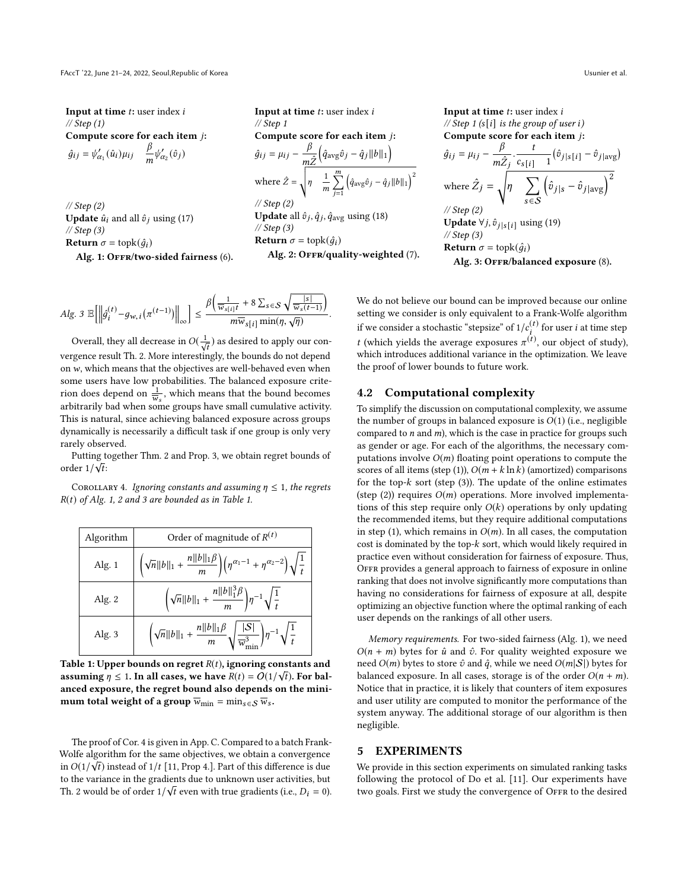Input at time  $t$ : user index  $i$ // Step (1) Compute score for each item *j*:  $\hat{g}_{ij} = \psi'_{\alpha_1}(\hat{u}_i)\mu_{ij}$   $\frac{\beta}{m}$  $\frac{p}{m}\psi'_{\alpha_2}(\hat{v}_j)$ 

 $\frac{1}{2}$  Step (2) **Update**  $\hat{u}_i$  and all  $\hat{v}_j$  using (17)  $//$  Step  $(3)$ **Return**  $\sigma = \text{topk}(\hat{q}_i)$ Alg. 1: OFFR/two-sided fairness (6). Input at time  $t$ : user index  $i$ // Step 1 Compute score for each item *j*:  $\hat{g}_{ij} = \mu_{ij} - \frac{\beta}{m}$ mŹ  $(\hat{q}_{\text{avg}}\hat{v}_j - \hat{q}_j || b ||_1)$ where  $\hat{Z} = \sqrt{\eta} \frac{1}{2}$  $\overline{m}$  $\frac{m}{\sqrt{2}}$  $\sum_{j=1}$  $\left(\hat{q}_{\mathrm{avg}}\hat{v}_{j} - \hat{q}_{j} \|b\|_{1}\right)^{2}$  $//$  Step  $(2)$ Update all  $\hat{v}_j$ ,  $\hat{q}_j$ ,  $\hat{q}_\text{avg}$  using (18) // Step (3) Return  $\sigma = \text{topk}(\hat{q}_i)$ Alg. 2: OFFR/quality-weighted (7).

.

$$
Alg. 3 \mathbb{E}\Big[\Big\|\hat{g}_{i}^{(t)} - g_{w,i}\big(\pi^{(t-1)}\big)\Big\|_{\infty}\Big] \leq \frac{\beta\Big(\frac{1}{\overline{w}_{s[i]t}} + 8\sum_{s \in \mathcal{S}} \sqrt{\frac{|s|}{\overline{w}_{s}(t-1)}}\Big)}{m\overline{w}_{s[i]}\min(\eta, \sqrt{\eta})}
$$

 $\frac{1}{\sqrt{t}}$  or the secretion of  $\frac{1}{\sqrt{t}}$  as desired to apply our con-Overall, they all decrease in  $O(\frac{1}{\sqrt{t}})$  as desired to apply our con-<br>proper scale Th. 2. More interestingly, the hounds do not depend on  $w$ , which means that the objectives are well-behaved even when some users have low probabilities. The balanced exposure criterion on w, which means that the objectives are well-behaved even when<br>some users have low probabilities. The balanced exposure criterion does depend on  $\frac{1}{\pi}$ , which means that the bound becomes From does depend on  $\frac{1}{w_s}$ , which means that the bound becomes arbitrarily bad when some groups have small cumulative activity. This is natural, since achieving balanced exposure across groups  $T$ dynamically is necessarily a difficult task if one group is only very<br>rarely observed rarely observed.

Putting togetl Putting together Thm. [2](#page-3-1) and Prop. [3,](#page-4-5) we obtain regret bounds of  $\text{Per } 1/\sqrt{t}$ . order  $1/\sqrt{t}$ :

<span id="page-5-2"></span> $\overline{a}$ Conoteting  $4.$  Ignoring constants and assuming  $\eta \ge 1$ , the regrets<br>t) of Alg. 1, 2 and 3 are bounded as in Table 1.  $R(t)$  of Alg. 1, 2 and 3 are bounded as in Table [1.](#page-5-1) COROLLARY 4. Ignoring constants and assuming  $\eta \leq 1$ , the regrets<br>A of  $4 \text{ kg}$ , 1, 2 and 3 are bounded as in Table 1.

<span id="page-5-1"></span>

| Algorithm | Order of magnitude of $R^{(t)}$                                                                                                       |
|-----------|---------------------------------------------------------------------------------------------------------------------------------------|
| Alg. 1    | $\left(\sqrt{n}  b  _1 + \frac{n  b  _1\beta}{m}\right)\left(\eta^{\alpha_1-1} + \eta^{\alpha_2-2}\right)\sqrt{\frac{1}{t}}$          |
| Alg. 2    | $\left(\sqrt{n}  b  _1 + \frac{n  b  _1^2 \beta}{m}\right)\eta^{-1}\sqrt{\frac{1}{t}}$                                                |
| Alg. 3    | $\left(\sqrt{n}\ b\ _1 + \frac{n\ b\ _1\beta}{m}\sqrt{\frac{ \mathcal{S} }{\overline{w}_{\min}^3}}\right)\eta^{-1}\sqrt{\frac{1}{t}}$ |

Table 1: Upper bounds on regret  $K(t)$ , ignoring constants and<br>assuming  $\eta \le 1$ . In all cases, we have  $R(t) = O(1/\sqrt{t})$ . For bal-<br>anced exposure the regret bound also depends on the miniassuming  $\eta \leq 1$ . In all cases, we have  $K(t) = O(1/\gamma t)$ . For bal-<br>anced exposure, the regret bound also denends on the minianced exposure, the regret bound also depends on the minimum total weight of a group  $\overline{w}_{\min} = \min_{s \in \mathcal{S}} \overline{w}_s$ . Table 1: Upper bounds on regret  $R(t)$ , ignoring constants and

The proof of Cor. 4 is given in App. C. Compared to a batch Frank-The proof of Cor. [4](#page-5-2) is given in App. C. Compared to a batch Frank-Wolfe algorithm for the same objectives, we obtain a convergence Wolfe algorithm for the same objectives, we obtain a convergence in  $O(1/\sqrt{t})$  instead of 1/t [\[11,](#page-10-5) Prop 4.]. Part of this difference is due<br>to the variance in the gradients due to unknown user activities but to the variance in the gradients due to unknown user activities, but Th. [2](#page-3-1) would be of order  $1/\sqrt{t}$  even with true gradients (i.e.,  $D_i = 0$ ).

**Input at time**  $t$ : user index  $i$ // Step 1  $(s[i]$  is the group of user i) Compute score for each item *j*:  $\hat{g}_{ij} = \mu_{ij} - \frac{\beta}{m^2}$  $m\hat{Z}_i$  $\frac{t}{1}$  $\frac{t}{c_{s[i]} - 1} (\hat{v}_{j|s[i]} - \hat{v}_{j|avg})$ where  $\hat{Z}_i =$  $^{\prime}$  $\frac{1}{n}$  $s \in S$  $(\hat{v}_{j | s} - \hat{v}_{j | \text{avg}})^2$  $\mathcal{N}$  Step (2) **Update** ∀*j*,  $\hat{v}_{j|s[i]}$  using (19) // Step (3) **Return**  $\sigma = \text{topk}(\hat{g}_i)$ Alg. 3: OFFR/balanced exposure (8).

setting we consider is only equivalent to a Frank-Wolfe algorithm  $s_{\text{true}}$  consider a stachastic "stancine" of  $1/e^{(t)}$  for user i at time stand t (which yields the average exposures  $\pi^{(t)}$ , our object of study),<br>which introduces additional variance in the optimization. We leave if we consider a stochastic "stepsize" of  $1/c_i^{(t)}$  for user *i* at time step  $\ell$  (which yields the average exposures  $\ell$   $\ell$ ), our object of study), which introduces additional variance in the optimization. We leave the proof of lower bounds to future work.  $\mathbf{t}$ We do not believe our bound can be improved because our online

# 4.2 Computational complexity 4.2 Computational complexity

To simplify the discussion of groups in balanced exposure is  $O(1)$  (i.e., negligible the number of groups in balanced exposure is  $O(1)$  (i.e., negligible compared to n and m) which is the case in practice for groups suc the number of groups in balanced exposure is  $O(1)$  (i.e., negligible<br>compared to *n* and *m*), which is the case in practice for groups such<br>as gandar or age. For each of the algorithms, the necessary comcompared to *a* and *m*<sub>*j*</sub>, which is the case in practice for groups such<br>as gender or age. For each of the algorithms, the necessary comas gender or age. For each or the algorithms, the necessary com-<br>putations involve  $O(m)$  floating point operations to compute the<br>scores of all items (cten (1))  $O(m + k \ln k)$  (amortized) comparisons putations involve  $O(m)$  hoating point operations to compute the<br>scores of all items (step (1)),  $O(m + k \ln k)$  (amortized) comparisons<br>for the ton-k sort (step (3)). The undate of the online estimates scores of all items (step (1)),  $O(n + k \ln k)$  (amortized) comparisons<br>for the top-k sort (step (3)). The update of the online estimates<br>(step (2)) requires  $O(n)$  operations. More involved implementafor the top- $\kappa$  sort (step (3)). The update of the online estimates<br>(step (2)) requires  $O(m)$  operations. More involved implementa-<br>tions of this step require only  $O(k)$  operations by only updating (step (2)) requires  $O(m)$  operations. More involved implementa-<br>tions of this step require only  $O(k)$  operations by only updating<br>the recommended items, but they require additional computations tions of this step require only  $O(N)$  operations by only updating<br>the recommended items, but they require additional computations in step (1), which remains in  $O(m)$ . In all cases, the computation<br>cost is dominated by the ton-k sort, which would likely required in In step (1), which remains in  $O(m)$ . In all cases, the computation<br>cost is dominated by the top-k sort, which would likely required in<br>practice even without consideration for formess of exposure. Thus cost is dominated by the top-x sort, which would likely required in<br>practice even without consideration for fairness of exposure. Thus, practice even without consideration for fairness of exposure. Thus, Offr provides a general approach to fairness of exposure in online Offr provides a general approach to fairness of exposure in online ranking that does not involve significantly more computations than ranking that does not involve significantly more computations than having no considerations for fairness of exposure at all, despite having no considerations for fairness of exposure at all, despite optimizing an objective function where the optimal ranking of each optimizing an objective function where the optimal ranking of each user depends on the rankings of all other users. user depends on the rankings of all other users. To simplify the discussion on computational complexity, we assume

Memory requirements. For two-sided fairness (Alg. 1), we need Memory requirements. For two-sided fairness (Alg. 1), we need  $O(n + m)$  bytes for *u* and *v*. For quality weighted exposure we<br>need  $O(m)$  bytes to store  $\hat{v}$  and  $\hat{q}$ , while we need  $O(m|S|)$  bytes for<br>halanced exposure. In all cases, storage is of the order  $O(n + m)$ need  $O(m)$  bytes to store  $v$  and  $q$ , while we need  $O(m|S|)$  bytes for<br>balanced exposure. In all cases, storage is of the order  $O(n + m)$ .<br>Notice that in practice, it is likely that counters of item exposures. balanced exposure. In all cases, storage is of the order  $O(n + m)$ .<br>Notice that in practice, it is likely that counters of item exposures Notice that in practice, it is likely that counters of item exposures and user utility are computed to monitor the performance of the system anyway. The additional storage of our algorithm is then negligible. negligible.  $O(n + m)$  bytes for  $\hat{u}$  and  $\hat{v}$ . For quality weighted exposure we

## <span id="page-5-0"></span>5 EXPERIMENTS 5 EXPERIMENTS

We provide in this section experiments on simulated ranking tasks We provide in this section experiments on simulated ranking tasks following the protocol of Do et al. [11]. Our experiments have following the protocol of Do et al. [\[11\]](#page-10-5). Our experiments have two goals. First we study the convergence of OFFR to the desired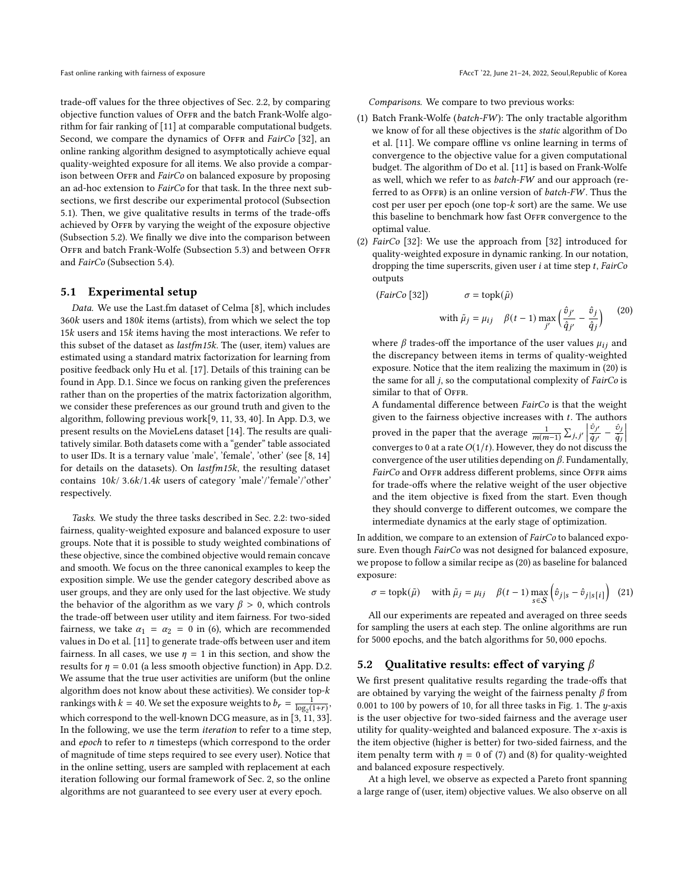trade-off values for the three objectives of Sec. [2.2,](#page-2-0) by comparing trade-off values for the three objectives of Sec. 2.2, by comparing trade-off values for the three objectives of Sec. 2.2, by comparing objective function values of OFFR and the batch Frank-Wolfe algorithm for fair ranking of [\[11\]](#page-10-5) at comparable computational budgets. rithm for fair ranking of [11] at comparable computational budgets. rithm for fair ranking of [11] at comparable computational budgets. Second, we compare the dynamics of OFFR and FairCo [\[32\]](#page-10-6), an online ranking algorithm designed to asymptotically achieve equal online ranking algorithm designed to asymptotically achieve equal online ranking algorithm designed to asymptotically achieve equal quality-weighted exposure for all items. We also provide a compar-quality-weighted exposure for all items. We also provide a compar-quality-weighted exposure for all items. We also provide a comparison between O $\overline{\text{}}$  and  $\overline{\text{}}$  FairCo on balanced exposure by proposing an ad-hoc extension to FairCo for that task. In the three next sub-an ad-hoc extension to FairCo for that task. In the three next sub-an ad-hoc extension to FairCo for that task. In the three next subsections, we first describe our experimental protocol (Subsection sections, we first describe our experimental protocol (Subsection sections, we first describe our experimental protocol (Subsection [5.1\)](#page-6-0). Then, we give qualitative results in terms of the trade-offs 5.1). Then, we give qualitative results in terms of the trade-offs 5.1). Then, we give qualitative results in terms of the trade-offs achieved by OFFR by varying the weight of the exposure objective (Subsection 5.2). We finally we dive into the comparison between (Subsectio[n 5.2](#page-6-1)). We finally we dive into the comparison between (Subsection 5.2). We finally we dive into the comparison between OFFR and batch Frank-Wolfe (Subsectio[n 5.](#page-7-0)3) and between OFFR and FairCo (Subsection 5.4). and FairCo (Subsectio[n 5.](#page-7-1)4). and FairCo (Subsection 5.4).

## <span id="page-6-0"></span>5.1 Experimental setup 5.1 Experimental setup 5.1 Experimental setup

Data. We use the Last.fm dataset of Celma [\[8\]](#page-9-3), which includes Data. We use the Last.fm dataset of Celma [8], which includes Data. We use the Last.fm dataset of Celma [8], which includes 360 $k$  users and 180 $k$  items (artists), from which we select the top  $15k$  users and  $15k$  items having the most interactions. We refer to 15k users and 15k items having the most interactions. We refer to this subset of the dataset as *lastfm* 15k. The (user item) values are this subset of the dataset as lastfm15k. The (user, item) values are this subset of the dataset as lastfm15k. The (user, item) values are this subset of the dataset as lastfm15k. The (user, item) values are estimated using a standard matrix factorization for learning from estimated using a standard matrix factorization for learning from estimated using a standard matrix factorization for learning from positive feedback only Hu et al. [\[17\]](#page-10-13). Details of this training can be positive feedback only Hu et al. [17]. Details of this training can be positive feedback only Hu et al. [17]. Details of this training can be found in App. D.1. Since we focus on ranking given the preferences found in App. D.1. Since we focus on ranking given the preferences found in App. D.1. Since we focus on ranking given the preferences rather than on the properties of the matrix factorization algorithm, rather than on the properties of the matrix factorization algorithm, rather than on the properties of the matrix factorization algorithm, we consider these preferences as our ground truth and given to the we consider these preferences as our ground truth and given to the we consider these preferences as our ground truth and given to the algorithm, following previous work[\[9,](#page-10-14) [11,](#page-10-5) [33,](#page-10-4) [40\]](#page-10-10). In App. D.3, we algorithm, following previous work[9, 11, 33, 40]. In App. D.3, we algorithm, following previous work[9, 11, 33, 40]. In App. D.3, we present results on the MovieLens dataset [\[14\]](#page-10-15). The results are quali-present results on the MovieLens dataset [14]. The results are quali-present results on the MovieLens dataset [14]. The results are qualitatively similar. Both datasets come with a "gender" table associated tatively similar. Both datasets come with a "gender" table associated tatively similar. Both datasets come with a "gender" table associated to user IDs. It is a ternary value 'male', 'female', 'other' (see [\[8,](#page-9-3) [14\]](#page-10-15) to user IDs. It is a ternary value 'male', 'female', 'other' (see [8, 14] to user IDs. It is a ternary value 'male', 'female', 'other' (see [8, 14] for details on the datasets). On lastfm15k, the resulting dataset contains  $10k/3.6k/1.4k$  users of category 'male'/'female'/'other'<br>respectively respectively. respectively. respectively.

Tasks. We study the three tasks described in Sec. 2.2: two-sided Tasks. We study the three tasks described in Se[c. 2.2](#page-2-0): two-sided Tasks. We study the three tasks described in Sec. 2.2: two-sided fairness, quality-weighted exposure and balanced exposure to user fairness, quality-weighted exposure and balanced exposure to user fairness, quality-weighted exposure and balanced exposure to user groups. Note that it is possible to study weighted combinations of groups. Note that it is possible to study weighted combinations of groups. Note that it is possible to study weighted combinations of these objective, since the combined objective would remain concave these objective, since the combined objective would remain concave these objective, since the combined objective would remain concave and smooth. We focus on the three canonical examples to keep the and smooth. We focus on the three canonical examples to keep the and smooth. We focus on the three canonical examples to keep the exposition simple. We use the gender category described above as exposition simple. We use the gender category described above as exposition simple. We use the gender category described above as user groups, and they are only used for the last objective. We study user groups, and they are only used for the last objective. We study user groups, and they are only used for the last objective. We study the behavior of the algorithm as we vary  $\beta > 0$ , which controls the trade-off between user utility and item fairness. For two-sided the trade-off between user utility and item fairness. For two-sided the trade-off between user utility and item fairness. For two-sided the trade-off between user utility and item fairness. For two-sided fairness, we take  $\alpha_1 = \alpha_2 = 0$  in [\(6\)](#page-2-1), which are recommended values in Do et al. [11] to generate trade-offs between user and item values in Do et al. [\[11\]](#page-10-5) to generate trade-offs between user and item values in Do et al. [11] to generate trade-offs between user and item values in Do et al. [11] to generate trade-offs between user and item fairness. In all cases, we use  $\eta = 1$  in this section, and show the results for  $n = 0.01$  (a less smooth objective function) in App D 2. results for  $\eta = 0.01$  (a less smooth objective function) in App. D.2.<br>We assume that the true user activities are uniform (but the opline We assume that the true user activities are uniform (but the online We assume that the true user activities are uniform (but the online We assume that the true user activities are uniform (but the online algorithm does not know about these activities). We consider top- $k$ <br>replings with  $k = 40$ . We set the exposure weights to  $h = \frac{1}{2}$ rankings with  $k = 40$ . We set the exposure weights to  $b_r = \frac{1}{\log_2(1+r)}$ ,<br>which correspond to the well-known DCG measure as in [3, 11, 33] which correspond to the well-known DCG measure, as in [\[3,](#page-9-1) [11,](#page-10-5) [33\]](#page-10-4). which correspond to the well-known DCG measure, as in [3, 11, 33]. which correspond to the well-known DCG measure, as in [3, 11, 33]. In the following, we use the term iteration to refer to a time step, In the following, we use the term iteration to refer to a time step, In the following, we use the term iteration to refer to a time step, and *epoch* to refer to *n* timesteps (which correspond to the order<br>of magnitude of time steps required to see every user). Notice that of magnitude of time steps required to see every user). Notice that of magnitude of time steps required to see every user). Notice that of magnitude of time steps required to see every user). Notice that in the online setting, users are sampled with replacement at each in the online setting, users are sampled with replacement at each in the online setting, users are sampled with replacement at each iteration following our formal framework of Sec. 2, so the online iteration following our formal framework of Se[c. 2](#page-1-0), so the online iteration following our formal framework of Sec. 2, so the online algorithms are not guaranteed to see every user at every epoch. algorithms are not guaranteed to see every user at every epoch. algorithms are not guaranteed to see every user at every epoch.

Comparisons. We compare to two previous works: Comparisons. We compare to two previous works: Comparisons. We compare to two previous works:

- (1) Batch Frank-Wolfe (batch-FW): The only tractable algorithm (1) Batch Frank-Wolfe (batch-FW): The only tractable algorithm (1) Batch Frank-Wolfe (batch-FW): The only tractable algorithm we know of for all these objectives is the static algorithm of Do we know of for all these objectives is the static algorithm of Do we know of for all these objectives is the static algorithm of Do et al. [\[11\]](#page-10-5). We compare offline vs online learning in terms of et al. [11]. We compare offline vs online learning in terms of et al. [11]. We compare offline vs online learning in terms of convergence to the objective value for a given computational convergence to the objective value for a given computational convergence to the objective value for a given computational budget. The algorithm of Do et al. [\[11\]](#page-10-5) is based on Frank-Wolfe budget. The algorithm of Do et al. [11] is based on Frank-Wolfe budget. The algorithm of Do et al. [11] is based on Frank-Wolfe as well, which we refer to as batch-FW and our approach (re-as well, which we refer to as batch-FW and our approach (re-as well, which we refer to as batch-FW and our approach (referred to as OFFR) is an online version of  $batch-FW$ . Thus the cost per user per epoch (one top- $k$  sort) are the same. We use<br>this baseline to banchmark how fast OFFR convergence to the this baseline to benchmark how fast OFFR convergence to the optimal value. optimal value. optimal value.
- (2) FairCo [\[32\]](#page-10-6): We use the approach from [\[32\]](#page-10-6) introduced for (2) FairCo [32]: We use the approach from [32] introduced for (2) FairCo [32]: We use the approach from [32] introduced for quality-weighted exposure in dynamic ranking. In our notation, quality-weighted exposure in dynamic ranking. In our notation, quality-weighted exposure in dynamic ranking. In our notation, dropping the time superscrits, given user  $i$  at time step  $t$ ,  $FairCo$ outputs outputs outputs

(FairCo [32]) 
$$
\sigma = \text{topk}(\tilde{\mu})
$$
  
with  $\tilde{\mu}_j = \mu_{ij} \quad \beta(t-1) \max_{j'} \left( \frac{\hat{v}_{j'}}{\hat{q}_{j'}} - \frac{\hat{v}_j}{\hat{q}_j} \right)$  (20)

where β trades-off the importance of the user values  $\mu_{ij}$  and the discrepancy between items in terms of quality-weighted the discrepancy between items in terms of quality-weighted the discrepancy between items in terms of quality-weighted the discrepancy between items in terms of quality-weighted exposure. Notice that the item realizing the maximum in (20) is exposure. Notice that the item realizing the maximum in (20) is exposure. Notice that the item realizing the maximum in (20) is  $t_{\rm H}$  is the same for all *j*, so the computational complexity of *FairCo* is the same for all *j*, so the computational complexity of *FairCo* is similar to that of OFFR.

A fundamental difference between FairCo is that the weight A fundamental difference between FairCo is that the weight A fundamental difference between FairCo is that the weight given to the fairness objective increases with t. The authors<br>given to the fairness objective increases with t. The authors<br> $\frac{|\hat{v}_t - \hat{v}_t|}{|\hat{v}_t - \hat{v}_t|}$ proved in the paper that the average  $\frac{1}{m(m-1)}\sum_{j,j'}\left|\frac{\partial}{\partial x_j}\right|$  $\frac{i'}{i'} - \frac{i}{i}$ ˆ proved in the paper that the average  $\frac{1}{m(m-1)}\sum_{j,j'}\left|\frac{\hat{v}_{j'}}{\hat{q}_{j'}}-\frac{\hat{v}_j}{\hat{q}_j}\right|$ converges to 0 at a rate  $O(1/t)$ . However, they do not discuss the<br>convergence of the user utilities depending on 8. Fundamentally convergence of the user utilities depending on β. Fundamentally,<br>convergence of the user utilities depending on β. Fundamentally,<br> $EairC_0$  and Over address different problems, since Over aims FairCo and OFFR address different problems, since OFFR aims for trade-offs where the relative weight of the user objective for trade-offs where the relative weight of the user objective for trade-offs where the relative weight of the user objective and the item objective is fixed from the start. Even though and the item objective is fixed from the start. Even though and the item objective is fixed from the start. Even though they should converge to different outcomes, we compare the they should converge to different outcomes, we compare the they should converge to different outcomes, we compare the intermediate dynamics at the early stage of optimization. intermediate dynamics at the early stage of optimization. intermediate dynamics at the early stage of optimization.  $\overline{\hat{q}}_j$ roved in the paper that the average  $\frac{1}{m(m-1)} \sum_{j,j'} \left| \frac{\hat{v}_{j'}}{\hat{q}_{j'}} - \frac{\hat{v}_j}{\hat{q}_j} \right|$  $\frac{i'}{i'} - \frac{i}{i}$ ˆ ˆ

In addition, we compare to an extension of  ${\it FairCo}$  to balanced exposure. Even though FairCo was not designed for balanced exposure, sure. Even though FairCo was not designed for balanced exposure, sure. Even though FairCo was not designed for balanced exposure, we propose to follow a similar recipe as (20) as baseline for balanced we propose to follow a similar recipe as (20) as baseline for balanced we propose to follow a similar recipe as (20) as baseline for balanced exposure: exposure: exposure:

$$
\sigma = \text{topk}(\tilde{\mu}) \quad \text{with } \tilde{\mu}_j = \mu_{ij} \quad \beta(t-1) \max_{s \in S} \left( \hat{v}_{j|s} - \hat{v}_{j|s[i]} \right) \tag{21}
$$

All our experiments are repeated and averaged on three seeds All our experiments are repeated and averaged on three seeds All our experiments are repeated and averaged on three seeds for sampling the users at each step. The online algorithms are run for sampling the users at each step. The online algorithms are run for sampling the users at each step. The online algorithms are run for 5000 epochs, and the batch algorithms for 50, 000 epochs. for 5000 epochs, and the batch algorithms for 50, 000 epochs. for <sup>5000</sup> epochs, and the batch algorithms for <sup>50</sup>, <sup>000</sup> epochs.

# <span id="page-6-1"></span>5.2 Qualitative results: effect of varying β<br>We first present qualitative results reserving the trade of

We first present qualitative results regarding the trade-offs that We first present qualitative results regarding the trade-offs that We first present qualitative results regarding the trade-offs that are obtained by varying the weight of the fairness penalty β from<br>0.001 to 100 by powers of 10 for all three tasks in Fig. 1. The *travis*  $0.001$  to 100 by powers of 10, for all three tasks in Fi[g.](#page-7-2) 1. The y-axis is the user objective for two-sided for press and the average user is the user objective for two-sided fairness and the average user is the user objective for two-sided fairness and the average user is the user objective for two-sided fairness and the average user utility for quality-weighted and balanced exposure. The  $x$ -axis is<br>the item objective (bigher is better) for two-sided fairness, and the the item objective (higher is better) for two-sided fairness, and the the item objective (higher is better) for two-sided fairness, and the the item objective (higher is better) for two-sided fairness, and the item penalty term with  $\eta = 0$  of [\(7\)](#page-2-2) and [\(8\)](#page-2-3) for quality-weighted<br>and balanced exposure respectively. and balanced exposure respectively. and balanced exposure respectively. and balanced exposure respectively.

At a high level, we observe as expected a Pareto front spanning At a high level, we observe as expected a Pareto front spanning At a high level, we observe as expected a Pareto front spanning a large range of (user, item) objective values. We also observe on all a large range of (user, item) objective values. We also observe on all a large range of (user, item) objective values. We also observe on all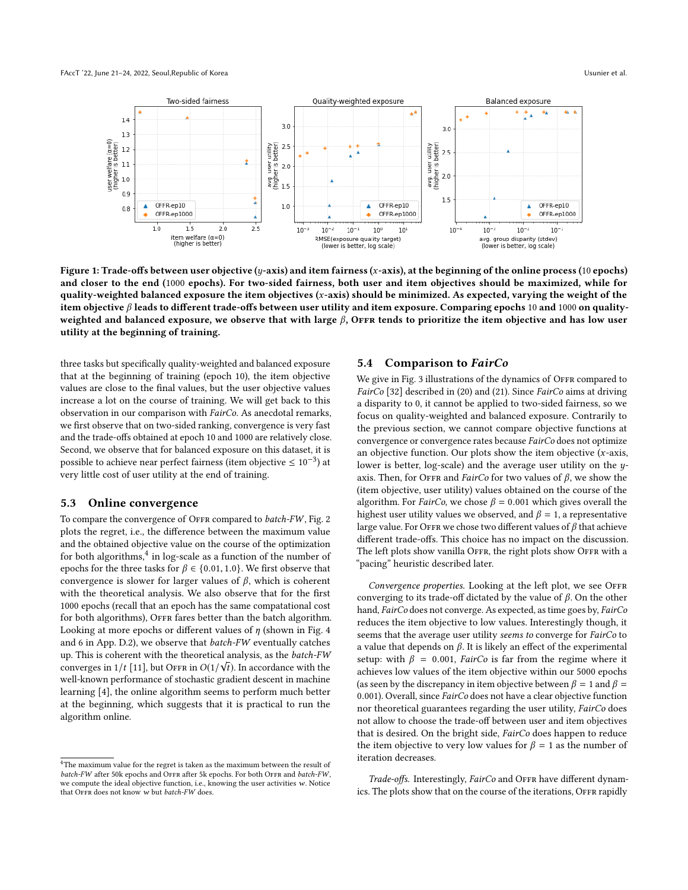<span id="page-7-2"></span>

Figure 1: Trade-offs between user objective (y-axis) and item fairness (x-axis), at the beginning of the online process (10 epochs) and closer to the end (1000 epochs). For two-sided fairness, both user and item objectives should be maximized, while for quality-weighted balanced exposure the item objectives (x-axis) should be minimized. As expected, varying the weight of the item objective <sup>β</sup> leads to different trade-offs between user utility and item exposure. Comparing epochs <sup>10</sup> and <sup>1000</sup> on qualityweighted and balanced exposure, we observe that with large  $\beta$ , OFFR tends to prioritize the item objective and has low user utility at the beginning of training.

three tasks but specifically quality-weighted and balanced exposure that at the beginning of training (epoch 10), the item objective values are close to the final values, but the user objective values increase a lot on the course of training. We will get back to this observation in our comparison with FairCo. As anecdotal remarks, we first observe that on two-sided ranking, convergence is very fast and the trade-offs obtained at epoch 10 and 1000 are relatively close. Second, we observe that for balanced exposure on this dataset, it is possible to achieve near perfect fairness (item objective  $\leq 10^{-3}$ ) at very little cost of user utility at the end of training.

#### <span id="page-7-0"></span>5.3 Online convergence

To compare the convergence of OFFR compared to batch-FW, Fig. [2](#page-8-1) plots the regret, i.e., the difference between the maximum value and the obtained objective value on the course of the optimization for both algorithms, $4$  in log-scale as a function of the number of epochs for the three tasks for  $\beta \in \{0.01, 1.0\}$ . We first observe that convergence is slower for larger values of β, which is coherent with the theoretical analysis. We also observe that for the first 1000 epochs (recall that an epoch has the same compatational cost for both algorithms), OFFR fares better than the batch algorithm. Looking at more epochs or different values of  $\eta$  (shown in Fig. 4 and 6 in App. D.2), we observe that batch-FW eventually catches up. This is coherent with the theoretical analysis, as the batch-FW  $\epsilon$ -<br>converges in 1/t [\[11\]](#page-10-5), but Offr in  $O(1/\sqrt{t})$ . In accordance with the<br>well-known performance of stochastic gradient descent in machine well-known performance of stochastic gradient descent in machine learning [\[4\]](#page-9-4), the online algorithm seems to perform much better at the beginning, which suggests that it is practical to run the algorithm online.

#### <span id="page-7-1"></span>5.4 Comparison to FairCo

We give in Fig. [3](#page-8-2) illustrations of the dynamics of OFFR compared to FairCo [\[32\]](#page-10-6) described in (20) and (21). Since FairCo aims at driving a disparity to 0, it cannot be applied to two-sided fairness, so we focus on quality-weighted and balanced exposure. Contrarily to the previous section, we cannot compare objective functions at convergence or convergence rates because FairCo does not optimize an objective function. Our plots show the item objective  $(x$ -axis, lower is better, log-scale) and the average user utility on the yaxis. Then, for OFFR and FairCo for two values of  $\beta$ , we show the (item objective, user utility) values obtained on the course of the algorithm. For *FairCo*, we chose  $\beta = 0.001$  which gives overall the highest user utility values we observed, and  $\beta = 1$ , a representative large value. For OFFR we chose two different values of  $\beta$  that achieve different trade-offs. This choice has no impact on the discussion. The left plots show vanilla OFFR, the right plots show OFFR with a "pacing" heuristic described later.

Convergence properties. Looking at the left plot, we see OFFR converging to its trade-off dictated by the value of  $β$ . On the other hand, FairCo does not converge. As expected, as time goes by, FairCo reduces the item objective to low values. Interestingly though, it seems that the average user utility seems to converge for FairCo to a value that depends on  $β$ . It is likely an effect of the experimental setup: with  $\beta = 0.001$ , FairCo is far from the regime where it achieves low values of the item objective within our 5000 epochs (as seen by the discrepancy in item objective between  $\beta = 1$  and  $\beta =$ <sup>0</sup>.001). Overall, since FairCo does not have a clear objective function nor theoretical guarantees regarding the user utility, FairCo does not allow to choose the trade-off between user and item objectives that is desired. On the bright side, FairCo does happen to reduce the item objective to very low values for  $\beta = 1$  as the number of iteration decreases.

Trade-offs. Interestingly, FairCo and OFFR have different dynamics. The plots show that on the course of the iterations, OFFR rapidly

<span id="page-7-3"></span> ${}^{4}\mathrm{The}$  maximum value for the regret is taken as the maximum between the result of batch-FW after 50k epochs and OFFR after 5k epochs. For both OFFR and batch-FW, we compute the ideal objective function, i.e., knowing the user activities w. Notice that OFFR does not know  $w$  but  $batch-FW$  does.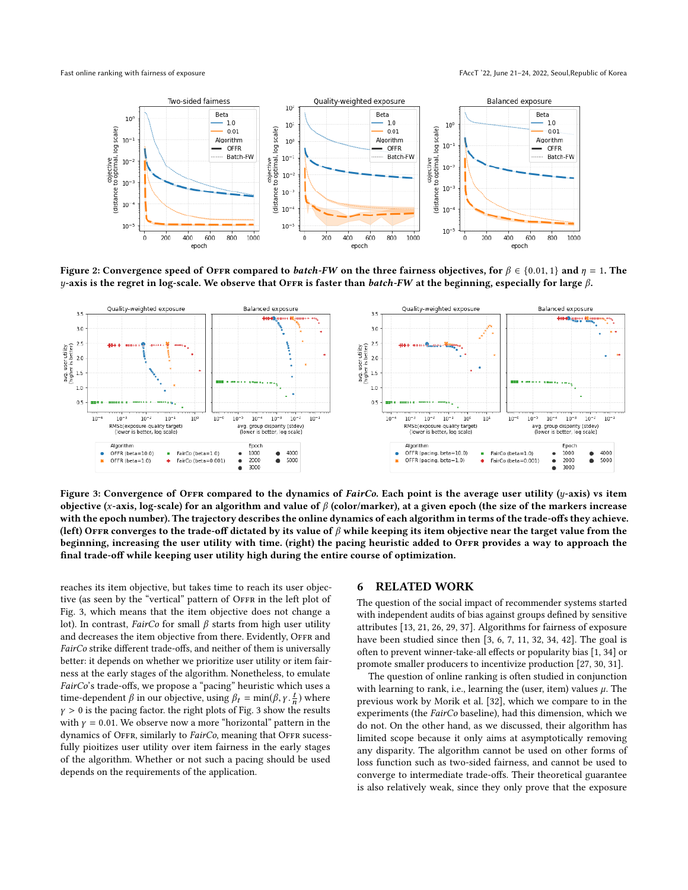<span id="page-8-1"></span>

Figure 2: Convergence speed of OFFR compared to batch-FW on the three fairness objectives, for  $\beta \in \{0.01, 1\}$  and  $\eta = 1$ . The  $y$ -axis is the regret in log-scale. We observe that OFFR is faster than batch-FW at the beginning, especially for large  $β$ .

<span id="page-8-2"></span>

Figure 3: Convergence of OFFR compared to the dynamics of FairCo. Each point is the average user utility ( $y$ -axis) vs item objective (x-axis, log-scale) for an algorithm and value of  $\beta$  (color/marker), at a given epoch (the size of the markers increase with the epoch number). The trajectory describes the online dynamics of each algorithm in terms of the trade-offs they achieve. (left) OFFR converges to the trade-off dictated by its value of  $\beta$  while keeping its item objective near the target value from the beginning, increasing the user utility with time. (right) the pacing heuristic added to OFFR provides a way to approach the final trade-off while keeping user utility high during the entire course of optimization.

reaches its item objective, but takes time to reach its user objective (as seen by the "vertical" pattern of OFFR in the left plot of Fig. [3,](#page-8-2) which means that the item objective does not change a lot). In contrast, FairCo for small  $\beta$  starts from high user utility and decreases the item objective from there. Evidently, OFFR and FairCo strike different trade-offs, and neither of them is universally better: it depends on whether we prioritize user utility or item fairness at the early stages of the algorithm. Nonetheless, to emulate FairCo's trade-offs, we propose a "pacing" heuristic which uses a time-dependent  $\beta$  in our objective, using  $\beta_t = \min(\beta, y, \frac{t}{n})$  where  $y > 0$  is the pacing factor the right plots of Fig. 3 show the results  $\gamma > 0$  is the pacing factor, the right plots of Fig. [3](#page-8-2) show the results<br>with  $\gamma = 0.01$ , We observe now a more "borizontal" pattern in the with  $\gamma = 0.01$ . We observe now a more "horizontal" pattern in the dynamics of OFFR, similarly to FairCo, meaning that OFFR sucessfully pioitizes user utility over item fairness in the early stages of the algorithm. Whether or not such a pacing should be used depends on the requirements of the application.

#### <span id="page-8-0"></span>6 RELATED WORK

The question of the social impact of recommender systems started with independent audits of bias against groups defined by sensitive attributes [\[13,](#page-10-16) [21,](#page-10-17) [26,](#page-10-18) [29,](#page-10-19) [37\]](#page-10-3). Algorithms for fairness of exposure have been studied since then [\[3,](#page-9-1) [6,](#page-9-5) [7,](#page-9-6) [11,](#page-10-5) [32,](#page-10-6) [34,](#page-10-1) [42\]](#page-10-20). The goal is often to prevent winner-take-all effects or popularity bias [\[1,](#page-9-0) [34\]](#page-10-1) or promote smaller producers to incentivize production [\[27,](#page-10-21) [30,](#page-10-22) [31\]](#page-10-23).

The question of online ranking is often studied in conjunction with learning to rank, i.e., learning the (user, item) values  $\mu$ . The previous work by Morik et al. [\[32\]](#page-10-6), which we compare to in the experiments (the FairCo baseline), had this dimension, which we do not. On the other hand, as we discussed, their algorithm has limited scope because it only aims at asymptotically removing any disparity. The algorithm cannot be used on other forms of loss function such as two-sided fairness, and cannot be used to converge to intermediate trade-offs. Their theoretical guarantee is also relatively weak, since they only prove that the exposure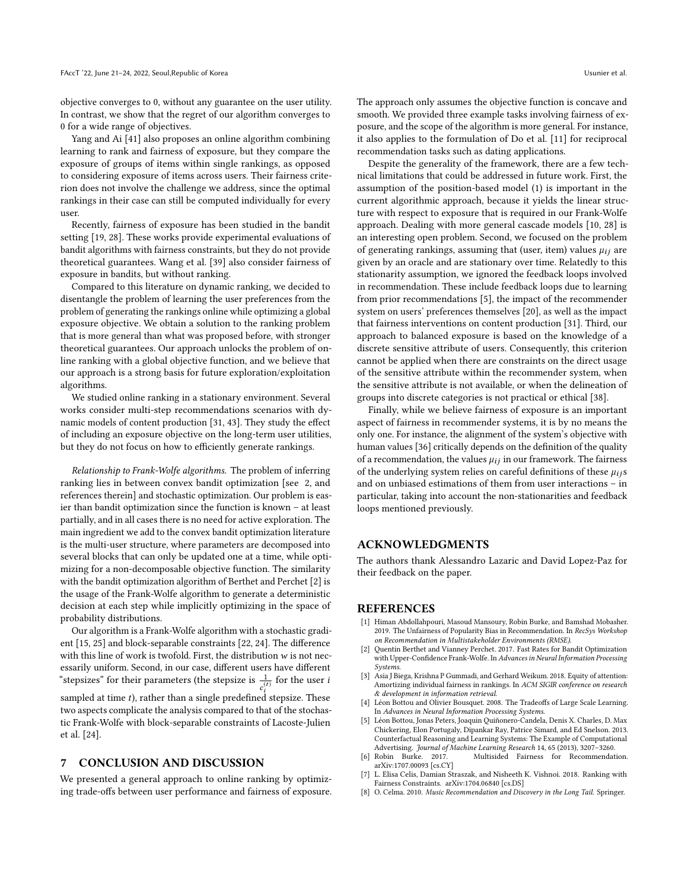objective converges to 0, without any guarantee on the user utility. In contrast, we show that the regret of our algorithm converges to 0 for a wide range of objectives.

Yang and Ai [\[41\]](#page-10-9) also proposes an online algorithm combining learning to rank and fairness of exposure, but they compare the exposure of groups of items within single rankings, as opposed to considering exposure of items across users. Their fairness criterion does not involve the challenge we address, since the optimal rankings in their case can still be computed individually for every user.

Recently, fairness of exposure has been studied in the bandit setting [\[19,](#page-10-24) [28\]](#page-10-25). These works provide experimental evaluations of bandit algorithms with fairness constraints, but they do not provide theoretical guarantees. Wang et al. [\[39\]](#page-10-26) also consider fairness of exposure in bandits, but without ranking.

Compared to this literature on dynamic ranking, we decided to disentangle the problem of learning the user preferences from the problem of generating the rankings online while optimizing a global exposure objective. We obtain a solution to the ranking problem that is more general than what was proposed before, with stronger theoretical guarantees. Our approach unlocks the problem of online ranking with a global objective function, and we believe that our approach is a strong basis for future exploration/exploitation algorithms.

We studied online ranking in a stationary environment. Several works consider multi-step recommendations scenarios with dynamic models of content production [\[31,](#page-10-23) [43\]](#page-10-27). They study the effect of including an exposure objective on the long-term user utilities, but they do not focus on how to efficiently generate rankings.

Relationship to Frank-Wolfe algorithms. The problem of inferring ranking lies in between convex bandit optimization [see [2,](#page-9-7) and references therein] and stochastic optimization. Our problem is easier than bandit optimization since the function is known – at least partially, and in all cases there is no need for active exploration. The main ingredient we add to the convex bandit optimization literature is the multi-user structure, where parameters are decomposed into several blocks that can only be updated one at a time, while optimizing for a non-decomposable objective function. The similarity with the bandit optimization algorithm of Berthet and Perchet [\[2\]](#page-9-7) is the usage of the Frank-Wolfe algorithm to generate a deterministic decision at each step while implicitly optimizing in the space of probability distributions.

Our algorithm is a Frank-Wolfe algorithm with a stochastic gradient [\[15,](#page-10-28) [25\]](#page-10-29) and block-separable constraints [\[22,](#page-10-30) [24\]](#page-10-31). The difference with this line of work is twofold. First, the distribution  $w$  is not necessarily uniform. Second, in our case, different users have different "stepsizes" for their parameters (the stepsize is  $\frac{1}{c_i^{(t)}}$  for the user *i* sampled at time *t*), rather than a single predefined stepsize. These<br>two aspects complicate the analysis compared to that of the stochastwo aspects complicate the analysis compared to that of the stochastic Frank-Wolfe with block-separable constraints of Lacoste-Julien et al. [\[24\]](#page-10-31).

#### <span id="page-9-2"></span>7 CONCLUSION AND DISCUSSION

We presented a general approach to online ranking by optimizing trade-offs between user performance and fairness of exposure.

The approach only assumes the objective function is concave and smooth. We provided three example tasks involving fairness of exposure, and the scope of the algorithm is more general. For instance, it also applies to the formulation of Do et al. [\[11\]](#page-10-5) for reciprocal recommendation tasks such as dating applications.

Despite the generality of the framework, there are a few technical limitations that could be addressed in future work. First, the assumption of the position-based model [\(1\)](#page-1-1) is important in the current algorithmic approach, because it yields the linear structure with respect to exposure that is required in our Frank-Wolfe approach. Dealing with more general cascade models [\[10,](#page-10-32) [28\]](#page-10-25) is an interesting open problem. Second, we focused on the problem of generating rankings, assuming that (user, item) values  $\mu_{ij}$  are given by an oracle and are stationary over time. Relatedly to this stationarity assumption, we ignored the feedback loops involved in recommendation. These include feedback loops due to learning from prior recommendations [\[5\]](#page-9-8), the impact of the recommender system on users' preferences themselves [\[20\]](#page-10-33), as well as the impact that fairness interventions on content production [\[31\]](#page-10-23). Third, our approach to balanced exposure is based on the knowledge of a discrete sensitive attribute of users. Consequently, this criterion cannot be applied when there are constraints on the direct usage of the sensitive attribute within the recommender system, when the sensitive attribute is not available, or when the delineation of groups into discrete categories is not practical or ethical [\[38\]](#page-10-34).

Finally, while we believe fairness of exposure is an important aspect of fairness in recommender systems, it is by no means the only one. For instance, the alignment of the system's objective with human values [\[36\]](#page-10-35) critically depends on the definition of the quality of a recommendation, the values  $\mu_{ij}$  in our framework. The fairness of the underlying system relies on careful definitions of these  $\mu_{ij}$ s and on unbiased estimations of them from user interactions – in particular, taking into account the non-stationarities and feedback loops mentioned previously.

#### ACKNOWLEDGMENTS

The authors thank Alessandro Lazaric and David Lopez-Paz for their feedback on the paper.

#### REFERENCES

- <span id="page-9-0"></span>[1] Himan Abdollahpouri, Masoud Mansoury, Robin Burke, and Bamshad Mobasher. 2019. The Unfairness of Popularity Bias in Recommendation. In RecSys Workshop on Recommendation in Multistakeholder Environments (RMSE).
- <span id="page-9-7"></span>[2] Quentin Berthet and Vianney Perchet. 2017. Fast Rates for Bandit Optimization with Upper-Confidence Frank-Wolfe. In Advances in Neural Information Processing Systems.
- <span id="page-9-1"></span>[3] Asia J Biega, Krishna P Gummadi, and Gerhard Weikum. 2018. Equity of attention: Amortizing individual fairness in rankings. In ACM SIGIR conference on research & development in information retrieval.
- <span id="page-9-4"></span>[4] Léon Bottou and Olivier Bousquet. 2008. The Tradeoffs of Large Scale Learning. In Advances in Neural Information Processing Systems.
- <span id="page-9-8"></span>[5] Léon Bottou, Jonas Peters, Joaquin Quiñonero-Candela, Denis X. Charles, D. Max Chickering, Elon Portugaly, Dipankar Ray, Patrice Simard, and Ed Snelson. 2013. Counterfactual Reasoning and Learning Systems: The Example of Computational Advertising. *Journal of Machine Learning Research* 14, 65 (2013), 3207–3260.<br>[6] Robin Burke. 2017. Multisided Fairness for Recommendat
- <span id="page-9-5"></span>Multisided Fairness for Recommendation. arXiv[:1707.00093](https://arxiv.org/abs/1707.00093) [cs.CY]
- <span id="page-9-6"></span>[7] L. Elisa Celis, Damian Straszak, and Nisheeth K. Vishnoi. 2018. Ranking with Fairness Constraints. arXiv[:1704.06840](https://arxiv.org/abs/1704.06840) [cs.DS]
- <span id="page-9-3"></span>[8] O. Celma. 2010. Music Recommendation and Discovery in the Long Tail. Springer.